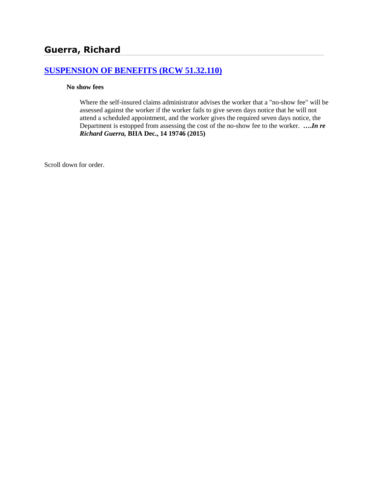# **[SUSPENSION OF BENEFITS \(RCW 51.32.110\)](http://www.biia.wa.gov/SDSubjectIndex.html#SUSPENSION_OF_BENEFITS)**

### **No show fees**

Where the self-insured claims administrator advises the worker that a "no-show fee" will be assessed against the worker if the worker fails to give seven days notice that he will not attend a scheduled appointment, and the worker gives the required seven days notice, the Department is estopped from assessing the cost of the no-show fee to the worker. **….***In re Richard Guerra,* **BIIA Dec., 14 19746 (2015)**

Scroll down for order.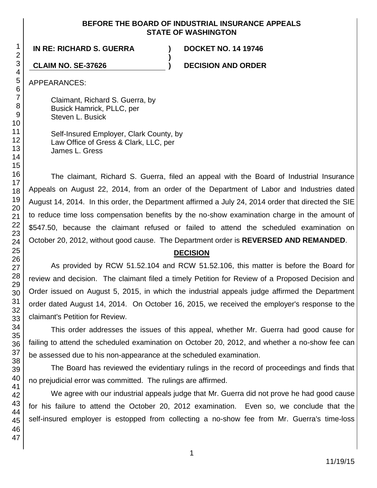### **BEFORE THE BOARD OF INDUSTRIAL INSURANCE APPEALS STATE OF WASHINGTON**

**)**

**IN RE: RICHARD S. GUERRA ) DOCKET NO. 14 19746**

**CLAIM NO. SE-37626 ) DECISION AND ORDER**

APPEARANCES:

Claimant, Richard S. Guerra, by Busick Hamrick, PLLC, per Steven L. Busick

Self-Insured Employer, Clark County, by Law Office of Gress & Clark, LLC, per James L. Gress

The claimant, Richard S. Guerra, filed an appeal with the Board of Industrial Insurance Appeals on August 22, 2014, from an order of the Department of Labor and Industries dated August 14, 2014. In this order, the Department affirmed a July 24, 2014 order that directed the SIE to reduce time loss compensation benefits by the no-show examination charge in the amount of \$547.50, because the claimant refused or failed to attend the scheduled examination on October 20, 2012, without good cause. The Department order is **REVERSED AND REMANDED**.

# **DECISION**

As provided by RCW 51.52.104 and RCW 51.52.106, this matter is before the Board for review and decision. The claimant filed a timely Petition for Review of a Proposed Decision and Order issued on August 5, 2015, in which the industrial appeals judge affirmed the Department order dated August 14, 2014. On October 16, 2015, we received the employer's response to the claimant's Petition for Review.

This order addresses the issues of this appeal, whether Mr. Guerra had good cause for failing to attend the scheduled examination on October 20, 2012, and whether a no-show fee can be assessed due to his non-appearance at the scheduled examination.

The Board has reviewed the evidentiary rulings in the record of proceedings and finds that no prejudicial error was committed. The rulings are affirmed.

We agree with our industrial appeals judge that Mr. Guerra did not prove he had good cause for his failure to attend the October 20, 2012 examination. Even so, we conclude that the self-insured employer is estopped from collecting a no-show fee from Mr. Guerra's time-loss

1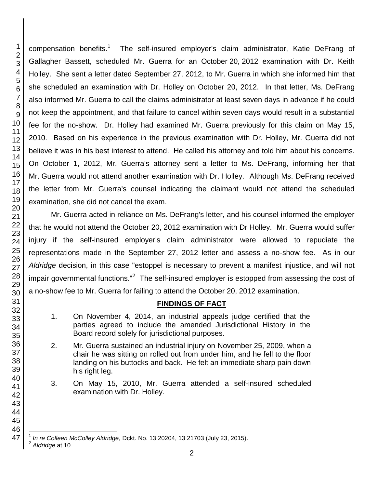compensation benefits.<sup>1</sup> The self-insured employer's claim administrator, Katie DeFrang of Gallagher Bassett, scheduled Mr. Guerra for an October 20, 2012 examination with Dr. Keith Holley. She sent a letter dated September 27, 2012, to Mr. Guerra in which she informed him that she scheduled an examination with Dr. Holley on October 20, 2012. In that letter, Ms. DeFrang also informed Mr. Guerra to call the claims administrator at least seven days in advance if he could not keep the appointment, and that failure to cancel within seven days would result in a substantial fee for the no-show. Dr. Holley had examined Mr. Guerra previously for this claim on May 15, 2010. Based on his experience in the previous examination with Dr. Holley, Mr. Guerra did not believe it was in his best interest to attend. He called his attorney and told him about his concerns. On October 1, 2012, Mr. Guerra's attorney sent a letter to Ms. DeFrang, informing her that Mr. Guerra would not attend another examination with Dr. Holley. Although Ms. DeFrang received the letter from Mr. Guerra's counsel indicating the claimant would not attend the scheduled examination, she did not cancel the exam.

Mr. Guerra acted in reliance on Ms. DeFrang's letter, and his counsel informed the employer that he would not attend the October 20, 2012 examination with Dr Holley. Mr. Guerra would suffer injury if the self-insured employer's claim administrator were allowed to repudiate the representations made in the September 27, 2012 letter and assess a no-show fee. As in our *Aldridge* decision, in this case "estoppel is necessary to prevent a manifest injustice, and will not impair governmental functions."<sup>2</sup> The self-insured employer is estopped from assessing the cost of a no-show fee to Mr. Guerra for failing to attend the October 20, 2012 examination.

## **FINDINGS OF FACT**

- 1. On November 4, 2014, an industrial appeals judge certified that the parties agreed to include the amended Jurisdictional History in the Board record solely for jurisdictional purposes.
- 2. Mr. Guerra sustained an industrial injury on November 25, 2009, when a chair he was sitting on rolled out from under him, and he fell to the floor landing on his buttocks and back. He felt an immediate sharp pain down his right leg.
- 3. On May 15, 2010, Mr. Guerra attended a self-insured scheduled examination with Dr. Holley.

 *Aldridge* at 10*.*

*In re Colleen McColley Aldridge*, Dckt. No. 13 20204, 13 21703 (July 23, 2015).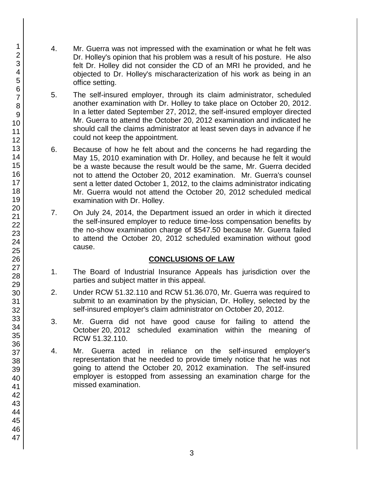- 4. Mr. Guerra was not impressed with the examination or what he felt was Dr. Holley's opinion that his problem was a result of his posture. He also felt Dr. Holley did not consider the CD of an MRI he provided, and he objected to Dr. Holley's mischaracterization of his work as being in an office setting.
- 5. The self-insured employer, through its claim administrator, scheduled another examination with Dr. Holley to take place on October 20, 2012. In a letter dated September 27, 2012, the self-insured employer directed Mr. Guerra to attend the October 20, 2012 examination and indicated he should call the claims administrator at least seven days in advance if he could not keep the appointment.
- 6. Because of how he felt about and the concerns he had regarding the May 15, 2010 examination with Dr. Holley, and because he felt it would be a waste because the result would be the same, Mr. Guerra decided not to attend the October 20, 2012 examination. Mr. Guerra's counsel sent a letter dated October 1, 2012, to the claims administrator indicating Mr. Guerra would not attend the October 20, 2012 scheduled medical examination with Dr. Holley.
- 7. On July 24, 2014, the Department issued an order in which it directed the self-insured employer to reduce time-loss compensation benefits by the no-show examination charge of \$547.50 because Mr. Guerra failed to attend the October 20, 2012 scheduled examination without good cause.

## **CONCLUSIONS OF LAW**

- 1. The Board of Industrial Insurance Appeals has jurisdiction over the parties and subject matter in this appeal.
- 2. Under RCW 51.32.110 and RCW 51.36.070, Mr. Guerra was required to submit to an examination by the physician, Dr. Holley, selected by the self-insured employer's claim administrator on October 20, 2012.
- 3. Mr. Guerra did not have good cause for failing to attend the October 20, 2012 scheduled examination within the meaning of RCW 51.32.110.
- 4. Mr. Guerra acted in reliance on the self-insured employer's representation that he needed to provide timely notice that he was not going to attend the October 20, 2012 examination. The self-insured employer is estopped from assessing an examination charge for the missed examination.